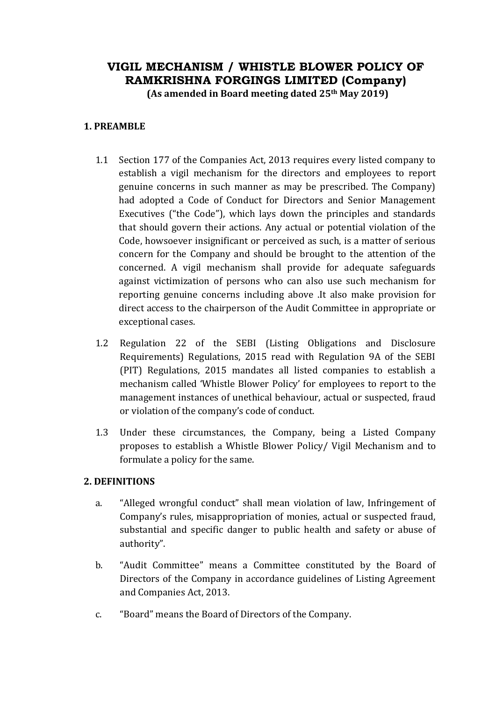# **VIGIL MECHANISM / WHISTLE BLOWER POLICY OF RAMKRISHNA FORGINGS LIMITED (Company) (As amended in Board meeting dated 25th May 2019)**

**1. PREAMBLE**

- 1.1 Section 177 of the Companies Act, 2013 requires every listed company to establish a vigil mechanism for the directors and employees to report genuine concerns in such manner as may be prescribed. The Company) had adopted a Code of Conduct for Directors and Senior Management Executives ("the Code"), which lays down the principles and standards that should govern their actions. Any actual or potential violation of the Code, howsoever insignificant or perceived as such, is a matter of serious concern for the Company and should be brought to the attention of the concerned. A vigil mechanism shall provide for adequate safeguards against victimization of persons who can also use such mechanism for reporting genuine concerns including above .It also make provision for direct access to the chairperson of the Audit Committee in appropriate or exceptional cases.
- 1.2 Regulation 22 of the SEBI (Listing Obligations and Disclosure Requirements) Regulations, 2015 read with Regulation 9A of the SEBI (PIT) Regulations, 2015 mandates all listed companies to establish a mechanism called 'Whistle Blower Policy' for employees to report to the management instances of unethical behaviour, actual or suspected, fraud or violation of the company's code of conduct.
- 1.3 Under these circumstances, the Company, being a Listed Company proposes to establish a Whistle Blower Policy/ Vigil Mechanism and to formulate a policy for the same.

## **2. DEFINITIONS**

- a. "Alleged wrongful conduct" shall mean violation of law, Infringement of Company's rules, misappropriation of monies, actual or suspected fraud, substantial and specific danger to public health and safety or abuse of authority".
- b. "Audit Committee" means a Committee constituted by the Board of Directors of the Company in accordance guidelines of Listing Agreement and Companies Act, 2013.
- c. "Board" means the Board of Directors of the Company.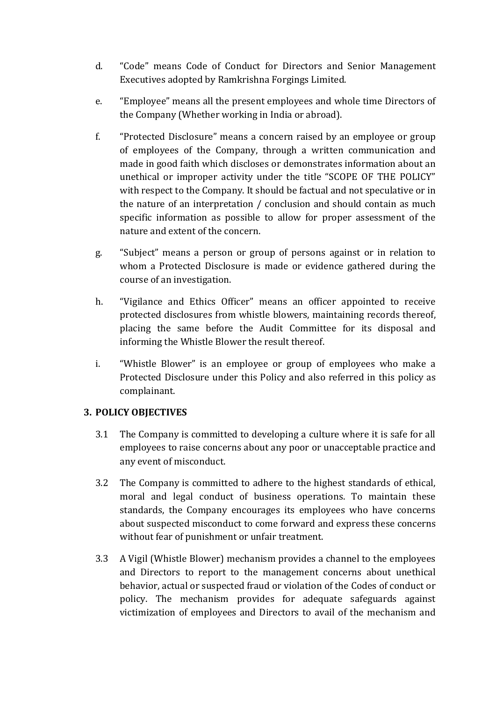- d. "Code" means Code of Conduct for Directors and Senior Management Executives adopted by Ramkrishna Forgings Limited.
- e. "Employee" means all the present employees and whole time Directors of the Company (Whether working in India or abroad).
- f. "Protected Disclosure" means a concern raised by an employee or group of employees of the Company, through a written communication and made in good faith which discloses or demonstrates information about an unethical or improper activity under the title "SCOPE OF THE POLICY" with respect to the Company. It should be factual and not speculative or in the nature of an interpretation / conclusion and should contain as much specific information as possible to allow for proper assessment of the nature and extent of the concern.
- g. "Subject" means a person or group of persons against or in relation to whom a Protected Disclosure is made or evidence gathered during the course of an investigation.
- h. "Vigilance and Ethics Officer" means an officer appointed to receive protected disclosures from whistle blowers, maintaining records thereof, placing the same before the Audit Committee for its disposal and informing the Whistle Blower the result thereof.
- i. "Whistle Blower" is an employee or group of employees who make a Protected Disclosure under this Policy and also referred in this policy as complainant.

# **3. POLICY OBJECTIVES**

- 3.1 The Company is committed to developing a culture where it is safe for all employees to raise concerns about any poor or unacceptable practice and any event of misconduct.
- 3.2 The Company is committed to adhere to the highest standards of ethical, moral and legal conduct of business operations. To maintain these standards, the Company encourages its employees who have concerns about suspected misconduct to come forward and express these concerns without fear of punishment or unfair treatment.
- 3.3 A Vigil (Whistle Blower) mechanism provides a channel to the employees and Directors to report to the management concerns about unethical behavior, actual or suspected fraud or violation of the Codes of conduct or policy. The mechanism provides for adequate safeguards against victimization of employees and Directors to avail of the mechanism and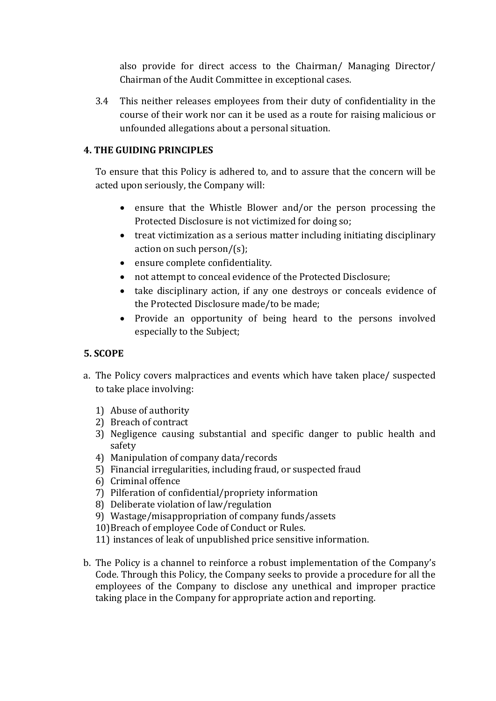also provide for direct access to the Chairman/ Managing Director/ Chairman of the Audit Committee in exceptional cases.

3.4 This neither releases employees from their duty of confidentiality in the course of their work nor can it be used as a route for raising malicious or unfounded allegations about a personal situation.

## **4. THE GUIDING PRINCIPLES**

To ensure that this Policy is adhered to, and to assure that the concern will be acted upon seriously, the Company will:

- ensure that the Whistle Blower and/or the person processing the Protected Disclosure is not victimized for doing so;
- treat victimization as a serious matter including initiating disciplinary action on such person/(s);
- ensure complete confidentiality.
- not attempt to conceal evidence of the Protected Disclosure;
- take disciplinary action, if any one destroys or conceals evidence of the Protected Disclosure made/to be made;
- Provide an opportunity of being heard to the persons involved especially to the Subject;

# **5. SCOPE**

- a. The Policy covers malpractices and events which have taken place/ suspected to take place involving:
	- 1) Abuse of authority
	- 2) Breach of contract
	- 3) Negligence causing substantial and specific danger to public health and safety
	- 4) Manipulation of company data/records
	- 5) Financial irregularities, including fraud, or suspected fraud
	- 6) Criminal offence
	- 7) Pilferation of confidential/propriety information
	- 8) Deliberate violation of law/regulation
	- 9) Wastage/misappropriation of company funds/assets
	- 10)Breach of employee Code of Conduct or Rules.
	- 11) instances of leak of unpublished price sensitive information.
- b. The Policy is a channel to reinforce a robust implementation of the Company's Code. Through this Policy, the Company seeks to provide a procedure for all the employees of the Company to disclose any unethical and improper practice taking place in the Company for appropriate action and reporting.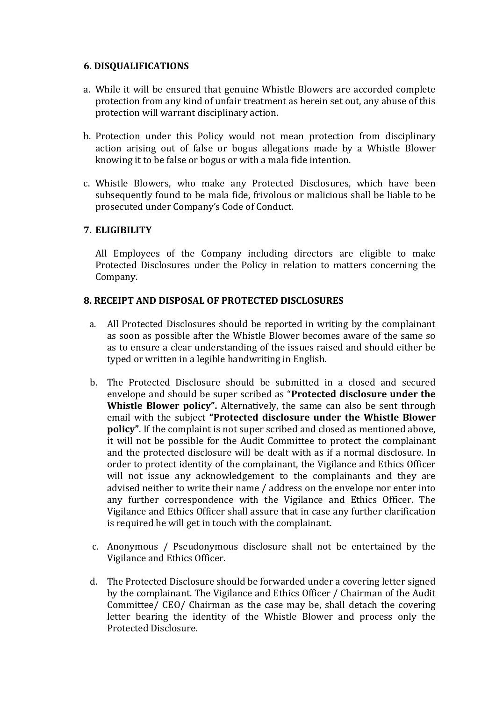#### **6. DISQUALIFICATIONS**

- a. While it will be ensured that genuine Whistle Blowers are accorded complete protection from any kind of unfair treatment as herein set out, any abuse of this protection will warrant disciplinary action.
- b. Protection under this Policy would not mean protection from disciplinary action arising out of false or bogus allegations made by a Whistle Blower knowing it to be false or bogus or with a mala fide intention.
- c. Whistle Blowers, who make any Protected Disclosures, which have been subsequently found to be mala fide, frivolous or malicious shall be liable to be prosecuted under Company's Code of Conduct.

## **7. ELIGIBILITY**

All Employees of the Company including directors are eligible to make Protected Disclosures under the Policy in relation to matters concerning the Company.

## **8. RECEIPT AND DISPOSAL OF PROTECTED DISCLOSURES**

- a. All Protected Disclosures should be reported in writing by the complainant as soon as possible after the Whistle Blower becomes aware of the same so as to ensure a clear understanding of the issues raised and should either be typed or written in a legible handwriting in English.
- b. The Protected Disclosure should be submitted in a closed and secured envelope and should be super scribed as "**Protected disclosure under the Whistle Blower policy".** Alternatively, the same can also be sent through email with the subject **"Protected disclosure under the Whistle Blower policy"**. If the complaint is not super scribed and closed as mentioned above, it will not be possible for the Audit Committee to protect the complainant and the protected disclosure will be dealt with as if a normal disclosure. In order to protect identity of the complainant, the Vigilance and Ethics Officer will not issue any acknowledgement to the complainants and they are advised neither to write their name / address on the envelope nor enter into any further correspondence with the Vigilance and Ethics Officer. The Vigilance and Ethics Officer shall assure that in case any further clarification is required he will get in touch with the complainant.
- c. Anonymous / Pseudonymous disclosure shall not be entertained by the Vigilance and Ethics Officer.
- d. The Protected Disclosure should be forwarded under a covering letter signed by the complainant. The Vigilance and Ethics Officer / Chairman of the Audit Committee/ CEO/ Chairman as the case may be, shall detach the covering letter bearing the identity of the Whistle Blower and process only the Protected Disclosure.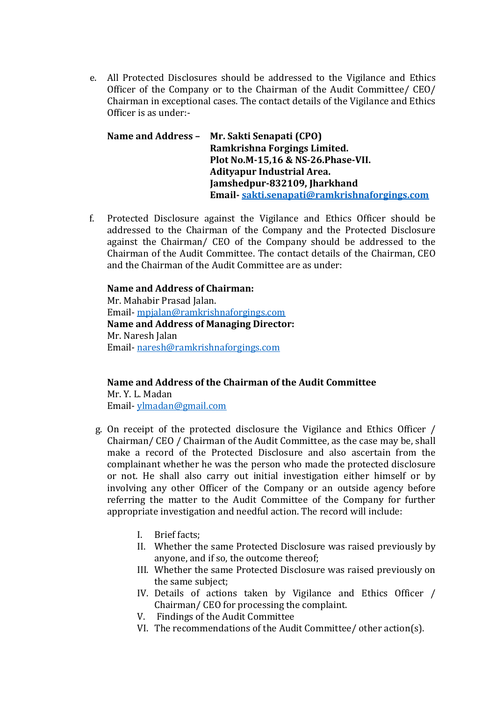e. All Protected Disclosures should be addressed to the Vigilance and Ethics Officer of the Company or to the Chairman of the Audit Committee/ CEO/ Chairman in exceptional cases. The contact details of the Vigilance and Ethics Officer is as under:-

**Name and Address – Mr. Sakti Senapati (CPO) Ramkrishna Forgings Limited. Plot No.M-15,16 & NS-26.Phase-VII. Adityapur Industrial Area. Jamshedpur-832109, Jharkhand Email- [sakti.senapati@ramkrishnaforgings.com](mailto:sakti.senapati@ramkrishnaforgings.com)**

f. Protected Disclosure against the Vigilance and Ethics Officer should be addressed to the Chairman of the Company and the Protected Disclosure against the Chairman/ CEO of the Company should be addressed to the Chairman of the Audit Committee. The contact details of the Chairman, CEO and the Chairman of the Audit Committee are as under:

### **Name and Address of Chairman:**  Mr. Mahabir Prasad Jalan. Email- [mpjalan@ramkrishnaforgings.com](mailto:mpjalan@ramkrishnaforgings.com) **Name and Address of Managing Director:** Mr. Naresh Jalan Email- [naresh@ramkrishnaforgings.com](mailto:naresh@ramkrishnaforgings.com)

**Name and Address of the Chairman of the Audit Committee**  Mr. Y. L. Madan Email- [ylmadan@gmail.com](mailto:ylmadan@gmail.com)

- g. On receipt of the protected disclosure the Vigilance and Ethics Officer / Chairman/ CEO / Chairman of the Audit Committee, as the case may be, shall make a record of the Protected Disclosure and also ascertain from the complainant whether he was the person who made the protected disclosure or not. He shall also carry out initial investigation either himself or by involving any other Officer of the Company or an outside agency before referring the matter to the Audit Committee of the Company for further appropriate investigation and needful action. The record will include:
	- I. Brief facts;
	- II. Whether the same Protected Disclosure was raised previously by anyone, and if so, the outcome thereof;
	- III. Whether the same Protected Disclosure was raised previously on the same subject;
	- IV. Details of actions taken by Vigilance and Ethics Officer / Chairman/ CEO for processing the complaint.
	- V. Findings of the Audit Committee
	- VI. The recommendations of the Audit Committee/ other action(s).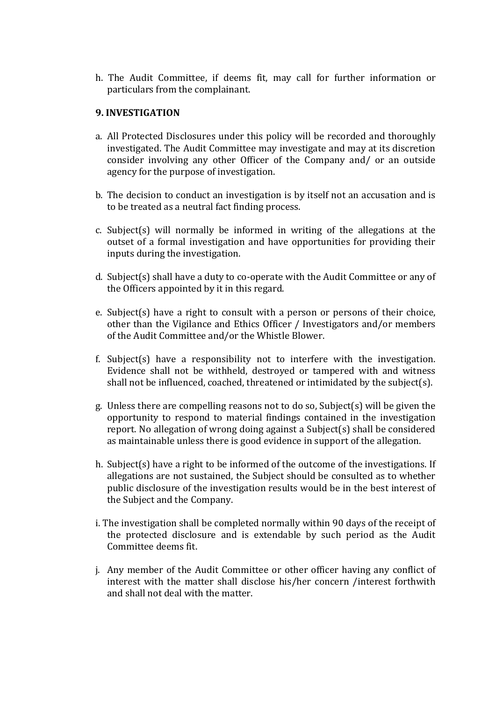h. The Audit Committee, if deems fit, may call for further information or particulars from the complainant.

## **9. INVESTIGATION**

- a. All Protected Disclosures under this policy will be recorded and thoroughly investigated. The Audit Committee may investigate and may at its discretion consider involving any other Officer of the Company and/ or an outside agency for the purpose of investigation.
- b. The decision to conduct an investigation is by itself not an accusation and is to be treated as a neutral fact finding process.
- c. Subject(s) will normally be informed in writing of the allegations at the outset of a formal investigation and have opportunities for providing their inputs during the investigation.
- d. Subject(s) shall have a duty to co-operate with the Audit Committee or any of the Officers appointed by it in this regard.
- e. Subject(s) have a right to consult with a person or persons of their choice, other than the Vigilance and Ethics Officer / Investigators and/or members of the Audit Committee and/or the Whistle Blower.
- f. Subject(s) have a responsibility not to interfere with the investigation. Evidence shall not be withheld, destroyed or tampered with and witness shall not be influenced, coached, threatened or intimidated by the subject(s).
- g. Unless there are compelling reasons not to do so, Subject(s) will be given the opportunity to respond to material findings contained in the investigation report. No allegation of wrong doing against a Subject(s) shall be considered as maintainable unless there is good evidence in support of the allegation.
- h. Subject(s) have a right to be informed of the outcome of the investigations. If allegations are not sustained, the Subject should be consulted as to whether public disclosure of the investigation results would be in the best interest of the Subject and the Company.
- i. The investigation shall be completed normally within 90 days of the receipt of the protected disclosure and is extendable by such period as the Audit Committee deems fit.
- j. Any member of the Audit Committee or other officer having any conflict of interest with the matter shall disclose his/her concern /interest forthwith and shall not deal with the matter.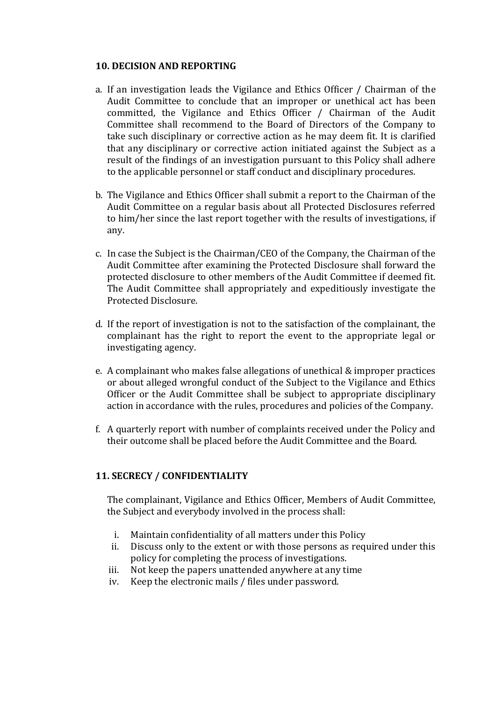#### **10. DECISION AND REPORTING**

- a. If an investigation leads the Vigilance and Ethics Officer / Chairman of the Audit Committee to conclude that an improper or unethical act has been committed, the Vigilance and Ethics Officer / Chairman of the Audit Committee shall recommend to the Board of Directors of the Company to take such disciplinary or corrective action as he may deem fit. It is clarified that any disciplinary or corrective action initiated against the Subject as a result of the findings of an investigation pursuant to this Policy shall adhere to the applicable personnel or staff conduct and disciplinary procedures.
- b. The Vigilance and Ethics Officer shall submit a report to the Chairman of the Audit Committee on a regular basis about all Protected Disclosures referred to him/her since the last report together with the results of investigations, if any.
- c. In case the Subject is the Chairman/CEO of the Company, the Chairman of the Audit Committee after examining the Protected Disclosure shall forward the protected disclosure to other members of the Audit Committee if deemed fit. The Audit Committee shall appropriately and expeditiously investigate the Protected Disclosure.
- d. If the report of investigation is not to the satisfaction of the complainant, the complainant has the right to report the event to the appropriate legal or investigating agency.
- e. A complainant who makes false allegations of unethical & improper practices or about alleged wrongful conduct of the Subject to the Vigilance and Ethics Officer or the Audit Committee shall be subject to appropriate disciplinary action in accordance with the rules, procedures and policies of the Company.
- f. A quarterly report with number of complaints received under the Policy and their outcome shall be placed before the Audit Committee and the Board.

## **11. SECRECY / CONFIDENTIALITY**

The complainant, Vigilance and Ethics Officer, Members of Audit Committee, the Subject and everybody involved in the process shall:

- i. Maintain confidentiality of all matters under this Policy
- ii. Discuss only to the extent or with those persons as required under this policy for completing the process of investigations.
- iii. Not keep the papers unattended anywhere at any time
- iv. Keep the electronic mails / files under password.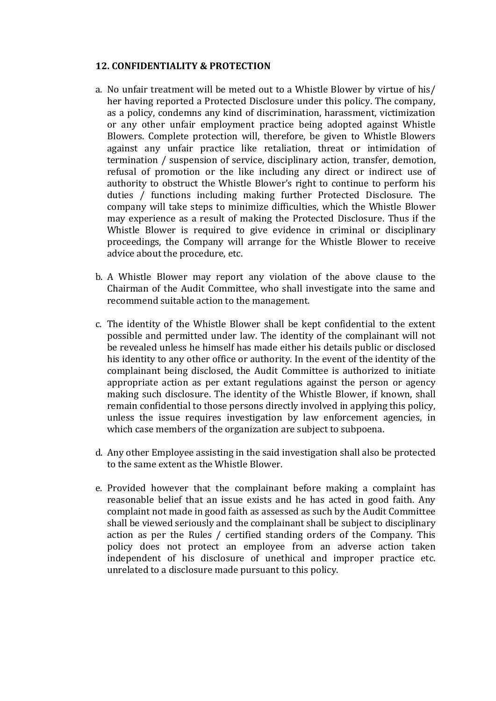#### **12. CONFIDENTIALITY & PROTECTION**

- a. No unfair treatment will be meted out to a Whistle Blower by virtue of his/ her having reported a Protected Disclosure under this policy. The company, as a policy, condemns any kind of discrimination, harassment, victimization or any other unfair employment practice being adopted against Whistle Blowers. Complete protection will, therefore, be given to Whistle Blowers against any unfair practice like retaliation, threat or intimidation of termination / suspension of service, disciplinary action, transfer, demotion, refusal of promotion or the like including any direct or indirect use of authority to obstruct the Whistle Blower's right to continue to perform his duties / functions including making further Protected Disclosure. The company will take steps to minimize difficulties, which the Whistle Blower may experience as a result of making the Protected Disclosure. Thus if the Whistle Blower is required to give evidence in criminal or disciplinary proceedings, the Company will arrange for the Whistle Blower to receive advice about the procedure, etc.
- b. A Whistle Blower may report any violation of the above clause to the Chairman of the Audit Committee, who shall investigate into the same and recommend suitable action to the management.
- c. The identity of the Whistle Blower shall be kept confidential to the extent possible and permitted under law. The identity of the complainant will not be revealed unless he himself has made either his details public or disclosed his identity to any other office or authority. In the event of the identity of the complainant being disclosed, the Audit Committee is authorized to initiate appropriate action as per extant regulations against the person or agency making such disclosure. The identity of the Whistle Blower, if known, shall remain confidential to those persons directly involved in applying this policy, unless the issue requires investigation by law enforcement agencies, in which case members of the organization are subject to subpoena.
- d. Any other Employee assisting in the said investigation shall also be protected to the same extent as the Whistle Blower.
- e. Provided however that the complainant before making a complaint has reasonable belief that an issue exists and he has acted in good faith. Any complaint not made in good faith as assessed as such by the Audit Committee shall be viewed seriously and the complainant shall be subject to disciplinary action as per the Rules / certified standing orders of the Company. This policy does not protect an employee from an adverse action taken independent of his disclosure of unethical and improper practice etc. unrelated to a disclosure made pursuant to this policy.